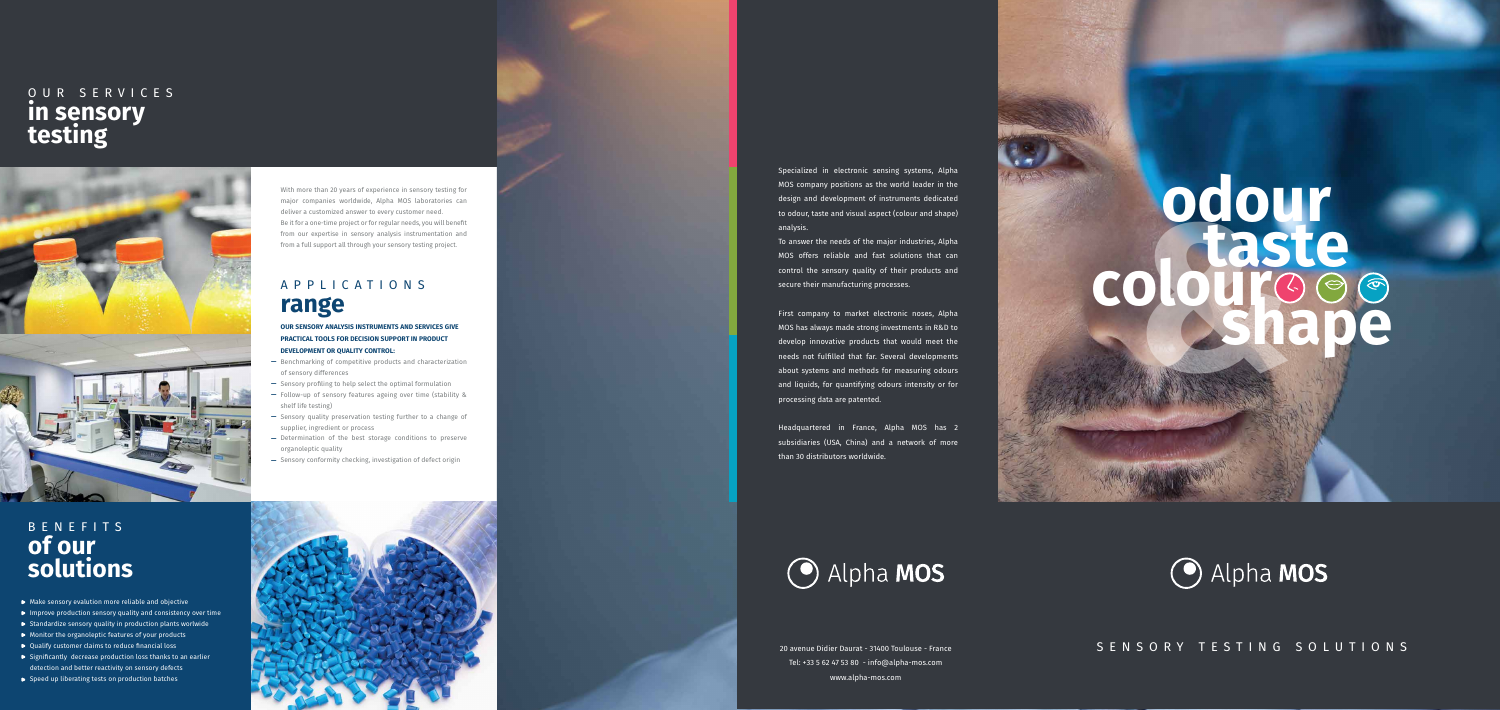## SENSORY TESTING SOLUTIONS

Specialized in electronic sensing systems, Alpha MOS company positions as the world leader in the design and development of instruments dedicated to odour, taste and visual aspect (colour and shape) analysis.

To answer the needs of the major industries, Alpha MOS offers reliable and fast solutions that can control the sensory quality of their products and secure their manufacturing processes.

# **BEERINGS odour taste colourshape**





First company to market electronic noses, Alpha MOS has always made strong investments in R&D to develop innovative products that would meet the needs not fulfilled that far. Several developments about systems and methods for measuring odours and liquids, for quantifying odours intensity or for processing data are patented.

Headquartered in France, Alpha MOS has 2 subsidiaries (USA, China) and a network of more than 30 distributors worldwide.

20 avenue Didier Daurat - 31400 Toulouse - France Tel: +33 5 62 47 53 80 - info@alpha-mos.com www.alpha-mos.com

- Make sensory evalution more reliable and objective
- $\triangleright$  Improve production sensory quality and consistency over time
- $\triangleright$  Standardize sensory quality in production plants worlwide
- $\triangleright$  Monitor the organoleptic features of your products
- ▶ Qualify customer claims to reduce financial loss
- $\triangleright$  Significantly decrease production loss thanks to an earlier detection and better reactivity on sensory defects
- $\rightarrow$  Speed up liberating tests on production batches



## OUR SERVICES **in sensory testing**



With more than 20 years of experience in sensory testing for major companies worldwide, Alpha MOS laboratories can deliver a customized answer to every customer need. Be it for a one-time project or for regular needs, you will benefit from our expertise in sensory analysis instrumentation and from a full support all through your sensory testing project.

**OUR SENSORY ANALYSIS INSTRUMENTS AND SERVICES GIVE PRACTICAL TOOLS FOR DECISION SUPPORT IN PRODUCT DEVELOPMENT OR QUALITY CONTROL:**

- Benchmarking of competitive products and characterization of sensory differences
- $-$  Sensory profiling to help select the optimal formulation
- Follow-up of sensory features ageing over time (stability & shelf life testing) **——————**
- Sensory quality preservation testing further to a change of supplier, ingredient or process
- Determination of the best storage conditions to preserve organoleptic quality
- $-$  Sensory conformity checking, investigation of defect origin

# BENEFITS **of our solutions**

## APPLICATIONS **range**